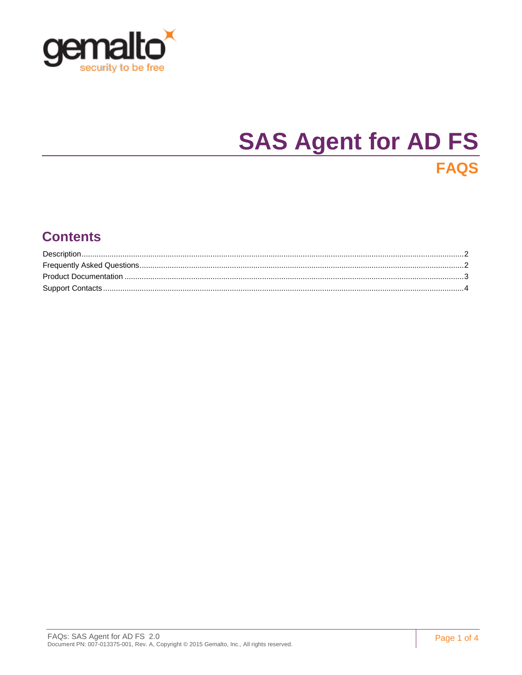

# **SAS Agent for AD FS**

# **FAQS**

### **Contents**

| $Description. \label{prop:2} \textbf{Description.} \normalsize \begin{minipage}{0.99\textwidth} \begin{tabular}{l} \textbf{Description.} \end{tabular} \normalsize \begin{tabular}{l} \textbf{Description.} \end{tabular} \normalsize \begin{tabular}{l} \textbf{Description.} \end{tabular} \normalsize \begin{tabular}{l} \textbf{1} & \textbf{2} & \textbf{3} & \textbf{4} & \textbf{5} & \textbf{5} & \textbf{6} & \textbf{6} & \textbf{7} & \textbf{8} & \textbf{9} & \textbf{10} & \textbf{10} & \textbf{10} & \$ |  |
|-------------------------------------------------------------------------------------------------------------------------------------------------------------------------------------------------------------------------------------------------------------------------------------------------------------------------------------------------------------------------------------------------------------------------------------------------------------------------------------------------------------------------|--|
|                                                                                                                                                                                                                                                                                                                                                                                                                                                                                                                         |  |
|                                                                                                                                                                                                                                                                                                                                                                                                                                                                                                                         |  |
|                                                                                                                                                                                                                                                                                                                                                                                                                                                                                                                         |  |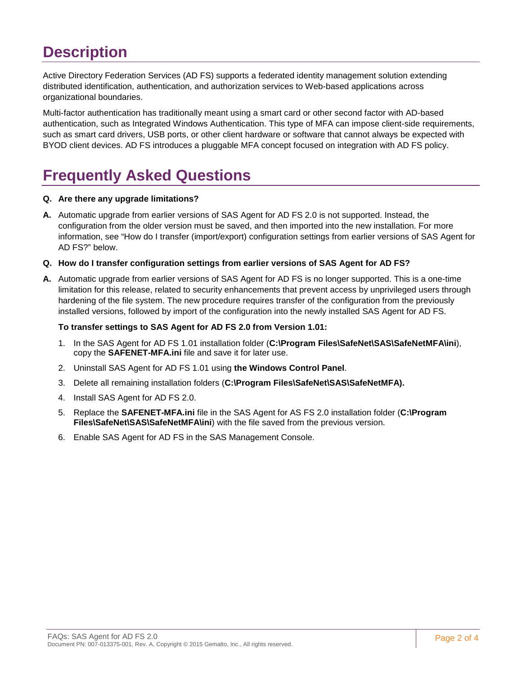### <span id="page-1-0"></span>**Description**

Active Directory Federation Services (AD FS) supports a federated identity management solution extending distributed identification, authentication, and authorization services to Web-based applications across organizational boundaries.

Multi-factor authentication has traditionally meant using a smart card or other second factor with AD-based authentication, such as Integrated Windows Authentication. This type of MFA can impose client-side requirements, such as smart card drivers, USB ports, or other client hardware or software that cannot always be expected with BYOD client devices. AD FS introduces a pluggable MFA concept focused on integration with AD FS policy.

# <span id="page-1-1"></span>**Frequently Asked Questions**

#### **Q. Are there any upgrade limitations?**

**A.** Automatic upgrade from earlier versions of SAS Agent for AD FS 2.0 is not supported. Instead, the configuration from the older version must be saved, and then imported into the new installation. For more information, see "How do I transfer (import/export) configuration settings from earlier versions of SAS Agent for AD FS?" below.

#### **Q. How do I transfer configuration settings from earlier versions of SAS Agent for AD FS?**

**A.** Automatic upgrade from earlier versions of SAS Agent for AD FS is no longer supported. This is a one-time limitation for this release, related to security enhancements that prevent access by unprivileged users through hardening of the file system. The new procedure requires transfer of the configuration from the previously installed versions, followed by import of the configuration into the newly installed SAS Agent for AD FS.

#### **To transfer settings to SAS Agent for AD FS 2.0 from Version 1.01:**

- 1. In the SAS Agent for AD FS 1.01 installation folder (**C:\Program Files\SafeNet\SAS\SafeNetMFA\ini**), copy the **SAFENET-MFA.ini** file and save it for later use.
- 2. Uninstall SAS Agent for AD FS 1.01 using **the Windows Control Panel**.
- 3. Delete all remaining installation folders (**C:\Program Files\SafeNet\SAS\SafeNetMFA).**
- 4. Install SAS Agent for AD FS 2.0.
- 5. Replace the **SAFENET-MFA.ini** file in the SAS Agent for AS FS 2.0 installation folder (**C:\Program Files\SafeNet\SAS\SafeNetMFA\ini**) with the file saved from the previous version.
- 6. Enable SAS Agent for AD FS in the SAS Management Console.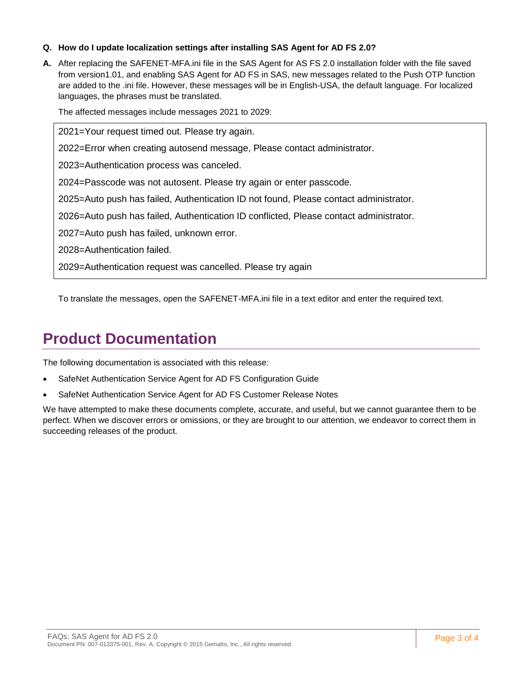#### **Q. How do I update localization settings after installing SAS Agent for AD FS 2.0?**

**A.** After replacing the SAFENET-MFA.ini file in the SAS Agent for AS FS 2.0 installation folder with the file saved from version1.01, and enabling SAS Agent for AD FS in SAS, new messages related to the Push OTP function are added to the .ini file. However, these messages will be in English-USA, the default language. For localized languages, the phrases must be translated.

The affected messages include messages 2021 to 2029:

2021=Your request timed out. Please try again.

2022=Error when creating autosend message, Please contact administrator.

2023=Authentication process was canceled.

2024=Passcode was not autosent. Please try again or enter passcode.

2025=Auto push has failed, Authentication ID not found, Please contact administrator.

2026=Auto push has failed, Authentication ID conflicted, Please contact administrator.

2027=Auto push has failed, unknown error.

2028=Authentication failed.

2029=Authentication request was cancelled. Please try again

To translate the messages, open the SAFENET-MFA.ini file in a text editor and enter the required text.

### <span id="page-2-0"></span>**Product Documentation**

The following documentation is associated with this release:

- SafeNet Authentication Service Agent for AD FS Configuration Guide
- SafeNet Authentication Service Agent for AD FS Customer Release Notes

We have attempted to make these documents complete, accurate, and useful, but we cannot guarantee them to be perfect. When we discover errors or omissions, or they are brought to our attention, we endeavor to correct them in succeeding releases of the product.